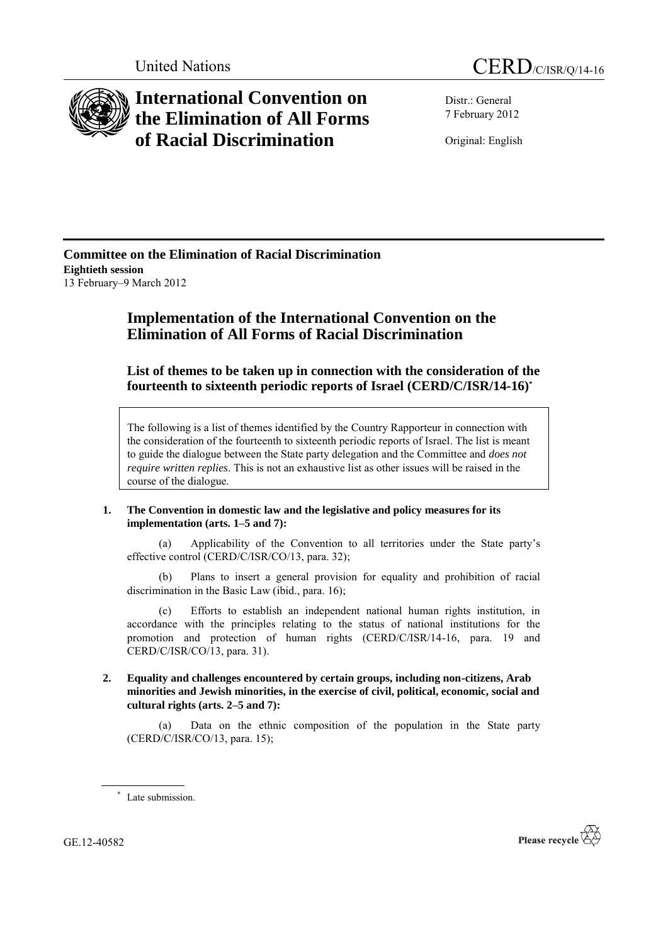

# **International Convention on the Elimination of All Forms of Racial Discrimination**

Distr.: General 7 February 2012

Original: English

**Committee on the Elimination of Racial Discrimination Eightieth session** 13 February–9 March 2012

# **Implementation of the International Convention on the Elimination of All Forms of Racial Discrimination**

**List of themes to be taken up in connection with the consideration of the fourteenth to sixteenth periodic reports of Israel (CERD/C/ISR/14-16) \***

The following is a list of themes identified by the Country Rapporteur in connection with the consideration of the fourteenth to sixteenth periodic reports of Israel. The list is meant to guide the dialogue between the State party delegation and the Committee and *does not require written replies*. This is not an exhaustive list as other issues will be raised in the course of the dialogue.

## **1. The Convention in domestic law and the legislative and policy measures for its implementation (arts. 1–5 and 7):**

(a) Applicability of the Convention to all territories under the State party's effective control (CERD/C/ISR/CO/13, para. 32);

(b) Plans to insert a general provision for equality and prohibition of racial discrimination in the Basic Law (ibid., para. 16);

(c) Efforts to establish an independent national human rights institution, in accordance with the principles relating to the status of national institutions for the promotion and protection of human rights (CERD/C/ISR/14-16, para. 19 and CERD/C/ISR/CO/13, para. 31).

**2. Equality and challenges encountered by certain groups, including non-citizens, Arab minorities and Jewish minorities, in the exercise of civil, political, economic, social and cultural rights (arts. 2–5 and 7):**

(a) Data on the ethnic composition of the population in the State party (CERD/C/ISR/CO/13, para. 15);

GE.12-40582



<sup>\*</sup> Late submission.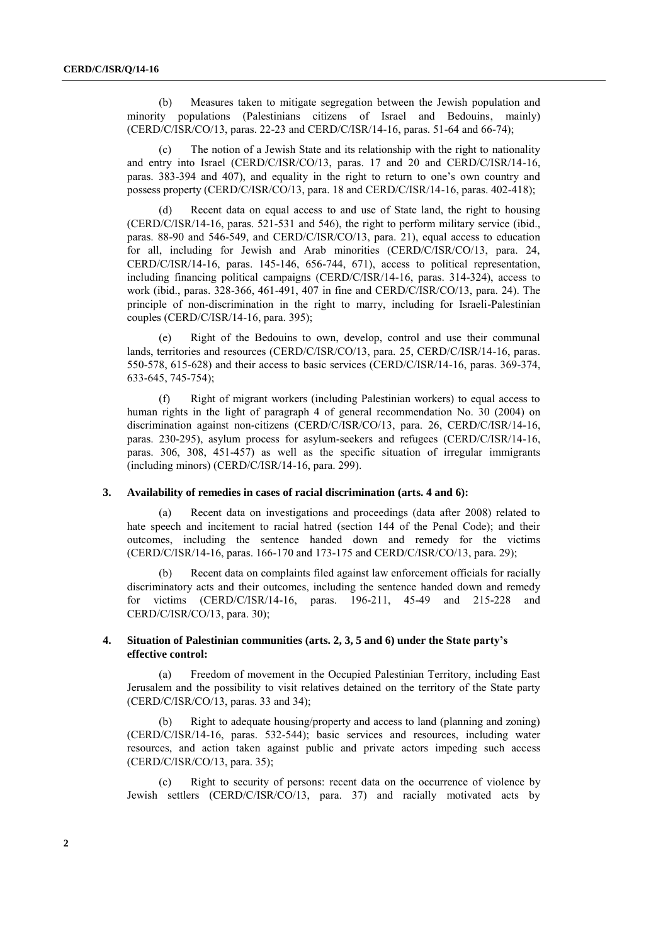(b) Measures taken to mitigate segregation between the Jewish population and minority populations (Palestinians citizens of Israel and Bedouins, mainly) (CERD/C/ISR/CO/13, paras. 22-23 and CERD/C/ISR/14-16, paras. 51-64 and 66-74);

(c) The notion of a Jewish State and its relationship with the right to nationality and entry into Israel (CERD/C/ISR/CO/13, paras. 17 and 20 and CERD/C/ISR/14-16, paras. 383-394 and 407), and equality in the right to return to one's own country and possess property (CERD/C/ISR/CO/13, para. 18 and CERD/C/ISR/14-16, paras. 402-418);

(d) Recent data on equal access to and use of State land, the right to housing (CERD/C/ISR/14-16, paras. 521-531 and 546), the right to perform military service (ibid., paras. 88-90 and 546-549, and CERD/C/ISR/CO/13, para. 21), equal access to education for all, including for Jewish and Arab minorities (CERD/C/ISR/CO/13, para. 24, CERD/C/ISR/14-16, paras. 145-146, 656-744, 671), access to political representation, including financing political campaigns (CERD/C/ISR/14-16, paras. 314-324), access to work (ibid., paras. 328-366, 461-491, 407 in fine and CERD/C/ISR/CO/13, para. 24). The principle of non-discrimination in the right to marry, including for Israeli-Palestinian couples (CERD/C/ISR/14-16, para. 395);

(e) Right of the Bedouins to own, develop, control and use their communal lands, territories and resources (CERD/C/ISR/CO/13, para. 25, CERD/C/ISR/14-16, paras. 550-578, 615-628) and their access to basic services (CERD/C/ISR/14-16, paras. 369-374, 633-645, 745-754);

(f) Right of migrant workers (including Palestinian workers) to equal access to human rights in the light of paragraph 4 of general recommendation No. 30 (2004) on discrimination against non-citizens (CERD/C/ISR/CO/13, para. 26, CERD/C/ISR/14-16, paras. 230-295), asylum process for asylum-seekers and refugees (CERD/C/ISR/14-16, paras. 306, 308, 451-457) as well as the specific situation of irregular immigrants (including minors) (CERD/C/ISR/14-16, para. 299).

#### **3. Availability of remedies in cases of racial discrimination (arts. 4 and 6):**

(a) Recent data on investigations and proceedings (data after 2008) related to hate speech and incitement to racial hatred (section 144 of the Penal Code); and their outcomes, including the sentence handed down and remedy for the victims (CERD/C/ISR/14-16, paras. 166-170 and 173-175 and CERD/C/ISR/CO/13, para. 29);

(b) Recent data on complaints filed against law enforcement officials for racially discriminatory acts and their outcomes, including the sentence handed down and remedy for victims (CERD/C/ISR/14-16, paras. 196-211, 45-49 and 215-228 and CERD/C/ISR/CO/13, para. 30);

### **4. Situation of Palestinian communities (arts. 2, 3, 5 and 6) under the State party's effective control:**

(a) Freedom of movement in the Occupied Palestinian Territory, including East Jerusalem and the possibility to visit relatives detained on the territory of the State party (CERD/C/ISR/CO/13, paras. 33 and 34);

(b) Right to adequate housing/property and access to land (planning and zoning) (CERD/C/ISR/14-16, paras. 532-544); basic services and resources, including water resources, and action taken against public and private actors impeding such access (CERD/C/ISR/CO/13, para. 35);

(c) Right to security of persons: recent data on the occurrence of violence by Jewish settlers (CERD/C/ISR/CO/13, para. 37) and racially motivated acts by